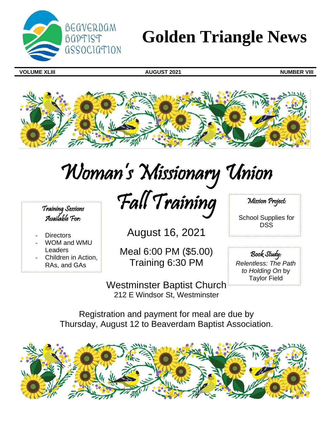

## **Golden Triangle News**

**VOLUME XLIII AUGUST 2021 NUMBER VIII**



# Woman 's Missionary Union

Fall Training

Training Sessions Available For:

- **Directors**
- WOM and WMU **Leaders**
- Children in Action, RAs, and GAs

Meal 6:00 PM (\$5.00) Training 6:30 PM

August 16, 2021

Westminster Baptist Church 212 E Windsor St, Westminster

Mission Project:

School Supplies for DSS

Book Study: *Relentless: The Path to Holding On* by Taylor Field

Registration and payment for meal are due by Thursday, August 12 to Beaverdam Baptist Association.

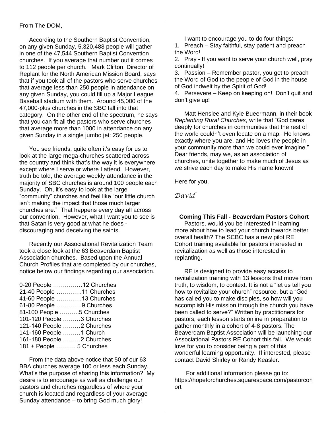## From The DOM,

According to the Southern Baptist Convention, on any given Sunday, 5,320,488 people will gather in one of the 47,544 Southern Baptist Convention churches. If you average that number out it comes to 112 people per church. Mark Clifton, Director of Replant for the North American Mission Board, says that if you took all of the pastors who serve churches that average less than 250 people in attendance on any given Sunday, you could fill up a Major League Baseball stadium with them. Around 45,000 of the 47,000-plus churches in the SBC fall into that category. On the other end of the spectrum, he says that you can fit all the pastors who serve churches that average more than 1000 in attendance on any given Sunday in a single jumbo jet: 250 people.

You see friends, quite often it's easy for us to look at the large mega-churches scattered across the country and think that's the way it is everywhere except where I serve or where I attend. However, truth be told, the average weekly attendance in the majority of SBC churches is around 100 people each Sunday. Oh, it's easy to look at the large "community" churches and feel like "our little church isn't making the impact that those much larger churches are." That happens every day all across our convention. However, what I want you to see is that Satan is very good at what he does discouraging and deceiving the saints.

Recently our Associational Revitalization Team took a close look at the 63 Beaverdam Baptist Association churches. Based upon the Annual Church Profiles that are completed by our churches, notice below our findings regarding our association.

| 0-20 People 12 Churches   |  |
|---------------------------|--|
| 21-40 People 11 Churches  |  |
| 41-60 People 13 Churches  |  |
| 61-80 People 9 Churches   |  |
| 81-100 People 5 Churches  |  |
| 101-120 People 3 Churches |  |
| 121-140 People 2 Churches |  |
| 141-160 People  1 Church  |  |
| 161-180 People 2 Churches |  |
| 181 + People  5 Churches  |  |

From the data above notice that 50 of our 63 BBA churches average 100 or less each Sunday. What's the purpose of sharing this information? My desire is to encourage as well as challenge our pastors and churches regardless of where your church is located and regardless of your average Sunday attendance – to bring God much glory!

I want to encourage you to do four things:

1. Preach – Stay faithful, stay patient and preach the Word!

2. Pray - If you want to serve your church well, pray continually!

3. Passion – Remember pastor, you get to preach the Word of God to the people of God in the house of God indwelt by the Spirit of God!

4. Persevere – Keep on keeping on! Don't quit and don't give up!

Matt Henslee and Kyle Bueermann, in their book *Replanting Rural Churches*, write that "God cares deeply for churches in communities that the rest of the world couldn't even locate on a map. He knows exactly where you are, and He loves the people in your community more than we could ever imagine." Dear friends, may we, as an association of churches, unite together to make much of Jesus as we strive each day to make His name known!

Here for you,

*David*

**Coming This Fall - Beaverdam Pastors Cohort** Pastors, would you be interested in learning more about how to lead your church towards better overall health? The SCBC has a new pilot RE Cohort training available for pastors interested in revitalization as well as those interested in replanting.

RE is designed to provide easy access to revitalization training with 13 lessons that move from truth, to wisdom, to context. It is not a "let us tell you how to revitalize your church" resource, but a "God has called you to make disciples, so how will you accomplish His mission through the church you have been called to serve?" Written by practitioners for pastors, each lesson starts online in preparation to gather monthly in a cohort of 4-8 pastors. The Beaverdam Baptist Association will be launching our Associational Pastors RE Cohort this fall. We would love for you to consider being a part of this wonderful learning opportunity. If interested, please contact David Shirley or Randy Keasler.

For additional information please go to: https://hopeforchurches.squarespace.com/pastorcoh ort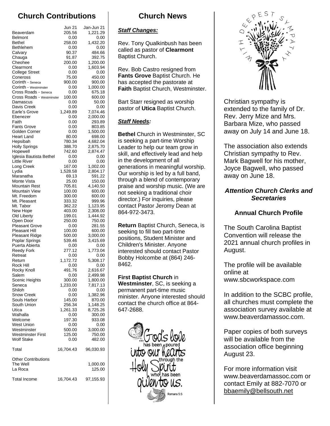## **Church Contributions**

|                                        | Jun 21           | Jan-Jun 21           |
|----------------------------------------|------------------|----------------------|
| Beaverdam                              | 205.56           | 1,221.29             |
| <b>Belmont</b>                         | 0.00             | 0.00                 |
| <b>Bethel</b>                          | 258.00           | 1,432.20             |
| Bethlehem                              | 0.00             | 0.00                 |
| Calvary                                | 90.37            | 484.66               |
| Chauga<br>Cheohee                      | 91.87<br>200.00  | 392.75<br>1,200.00   |
| Clearmont                              | 0.00             | 1,603.94             |
| <b>College Street</b>                  | 0.00             | 0.00                 |
| Coneross                               | 75.00            | 450.00               |
| Corinth - Seneca                       | 900.00           | 900.00               |
| Corinth - Westminster                  | 0.00             | 1,000.00             |
| Cross Roads - Seneca                   | 0.00             | 675.18               |
| Cross Roads - Westminster              | 100.00           | 600.00               |
| Damascus<br>Davis Creek                | 0.00<br>0.00     | 50.00<br>0.00        |
| Earle's Grove                          | 1,249.89         | 7,074.46             |
| Ebenezer                               | 0.00             | 2,000.00             |
| Faith                                  | 0.00             | 293.89               |
| <b>Fants Grove</b>                     | 0.00             | 803.85               |
| Golden Corner                          | 0.00             | 1,500.00             |
| Heart Land                             | 80.00            | 698.00               |
| Hepsibah                               | 780.34           | 4,682.04             |
| <b>Holly Springs</b>                   | 388.70<br>742.60 | 2,875.70<br>2,874.47 |
| Hopewell<br>Iglesia Bautista Bethel    | 0.00             | 0.00                 |
| <b>Little River</b>                    | 0.00             | 0.00                 |
| Long Creek                             | 167.00           | 1,002.00             |
| Lydia                                  | 1,528.58         | 2,804.17             |
| Maranatha                              | 69.13            | 591.22               |
| Monte Vista                            | 25.00            | 150.00               |
| Mountain Rest                          | 705.81           | 4,140.50             |
| Mountain View<br>Mt. Freedom           | 100.00<br>300.00 | 600.00<br>600.00     |
| Mt. Pleasant                           | 333.32           | 999.96               |
| Mt. Tabor                              | 362.22           | 1,123.95             |
| New Hope                               | 403.00           | 2,308.00             |
| Old Liberty                            | 199.01           | 1,444.92             |
| Open Door                              | 250.00           | 750.00               |
| <b>Pleasant Grove</b>                  | 0.00             | 281.55               |
| Pleasant Hill                          | 100.00           | 600.00               |
| Pleasant Ridge                         | 500.00           | 3,000.00             |
| Poplar Springs<br>Puerta Abierta       | 539.46<br>0.00   | 3,415.69<br>0.00     |
| <b>Reedy Fork</b>                      | 277.12           | 1,773.04             |
| Retreat                                | 0.00             | 0.00                 |
| Return                                 | 1,172.72         | 5,308.17             |
| Rock Hill                              | 0.00             | 0.00                 |
| Rocky Knoll                            | 491.76           | 2,616.67             |
| Salem                                  | 0.00             | 2,499.98             |
| Scenic Heights                         | 300.00           | 1,800.00             |
| Seneca<br>Shiloh                       | 1,233.00<br>0.00 | 7,817.13<br>0.00     |
| <b>Snow Creek</b>                      | 0.00             | 1,382.96             |
| Souls Harbor                           | 145.00           | 870.00               |
| South Union                            | 256.34           | 1,148.25             |
| Utica                                  | 1,261.33         | 8,725.26             |
| Walhalla                               | 0.00             | 300.00               |
| Welcome                                | 197.30           | 933.08               |
| West Union<br>Westminster              | 0.00<br>500.00   | 0.00<br>3,000.00     |
| <b>Westminster First</b>               | 125.00           | 750.00               |
| <b>Wolf Stake</b>                      | 0.00             | 482.00               |
| Total                                  | 16,704.43        | 96,030.93            |
|                                        |                  |                      |
| <b>Other Contributions</b><br>The Well |                  | 1,000.00             |
| La Roca                                |                  | 125.00               |
|                                        |                  |                      |
| <b>Total Income</b>                    | 16,704.43        | 97,155.93            |

## **Church News**

## *Staff Changes:*

Rev. Tony Qualkinbush has been called as pastor of **Clearmont** Baptist Church.

Rev. Bob Castro resigned from **Fants Grove** Baptist Church. He has accepted the pastorate at **Faith** Baptist Church, Westminster.

Bart Starr resigned as worship pastor of **Utica** Baptist Church.

## *Staff Needs:*

**Bethel** Church in Westminster, SC is seeking a part-time Worship Leader to help our team grow in skill, and effectively lead and help in the development of all generations in meaningful worship. Our worship is led by a full band, through a blend of contemporary praise and worship music. (We are not seeking a traditional choir director.) For inquiries, please contact Pastor Jeromy Dean at 864-972-3473.

**Return** Baptist Church, Seneca, is seeking to fill two part-time positions, Student Minister and Children's Minister. Anyone interested should contact Pastor Bobby Holcombe at (864) 246- 8462.

**First Baptist Church** in **Westminster**, SC, is seeking a permanent part-time music minister. Anyone interested should contact the church office at 864- 647-2688.





Christian sympathy is extended to the family of Dr. Rev. Jerry Mize and Mrs. Barbara Mize, who passed away on July 14 and June 18.

The association also extends Christian sympathy to Rev. Mark Bagwell for his mother, Joyce Bagwell, who passed away on June 18.

## *Attention Church Clerks and Secretaries*

## **Annual Church Profile**

The South Carolina Baptist Convention will release the 2021 annual church profiles in August.

The profile will be available online at www.sbcworkspace.com

In addition to the SCBC profile, all churches must complete the association survey available at www.beaverdamassoc.com.

Paper copies of both surveys will be available from the association office beginning August 23.

For more information visit www.beaverdamassoc.com or contact Emily at 882-7070 or [bbaemily@bellsouth.net](mailto:bbaemily@bellsouth.net)